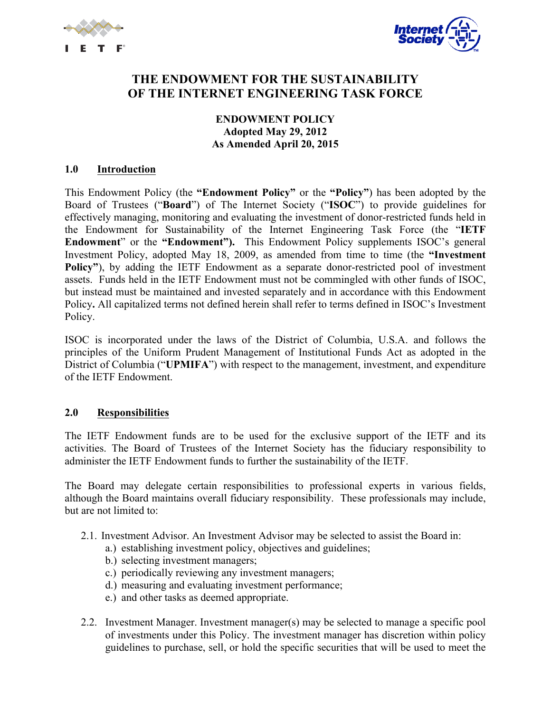



# **THE ENDOWMENT FOR THE SUSTAINABILITY OF THE INTERNET ENGINEERING TASK FORCE**

#### **ENDOWMENT POLICY Adopted May 29, 2012 As Amended April 20, 2015**

#### **1.0 Introduction**

This Endowment Policy (the **"Endowment Policy"** or the **"Policy"**) has been adopted by the Board of Trustees ("**Board**") of The Internet Society ("**ISOC**") to provide guidelines for effectively managing, monitoring and evaluating the investment of donor-restricted funds held in the Endowment for Sustainability of the Internet Engineering Task Force (the "**IETF Endowment**" or the **"Endowment").** This Endowment Policy supplements ISOC's general Investment Policy, adopted May 18, 2009, as amended from time to time (the **"Investment Policy"**), by adding the IETF Endowment as a separate donor-restricted pool of investment assets. Funds held in the IETF Endowment must not be commingled with other funds of ISOC, but instead must be maintained and invested separately and in accordance with this Endowment Policy**.** All capitalized terms not defined herein shall refer to terms defined in ISOC's Investment Policy.

ISOC is incorporated under the laws of the District of Columbia, U.S.A. and follows the principles of the Uniform Prudent Management of Institutional Funds Act as adopted in the District of Columbia ("**UPMIFA**") with respect to the management, investment, and expenditure of the IETF Endowment.

#### **2.0 Responsibilities**

The IETF Endowment funds are to be used for the exclusive support of the IETF and its activities. The Board of Trustees of the Internet Society has the fiduciary responsibility to administer the IETF Endowment funds to further the sustainability of the IETF.

The Board may delegate certain responsibilities to professional experts in various fields, although the Board maintains overall fiduciary responsibility. These professionals may include, but are not limited to:

- 2.1. Investment Advisor. An Investment Advisor may be selected to assist the Board in:
	- a.) establishing investment policy, objectives and guidelines;
	- b.) selecting investment managers;
	- c.) periodically reviewing any investment managers;
	- d.) measuring and evaluating investment performance;
	- e.) and other tasks as deemed appropriate.
- 2.2. Investment Manager. Investment manager(s) may be selected to manage a specific pool of investments under this Policy. The investment manager has discretion within policy guidelines to purchase, sell, or hold the specific securities that will be used to meet the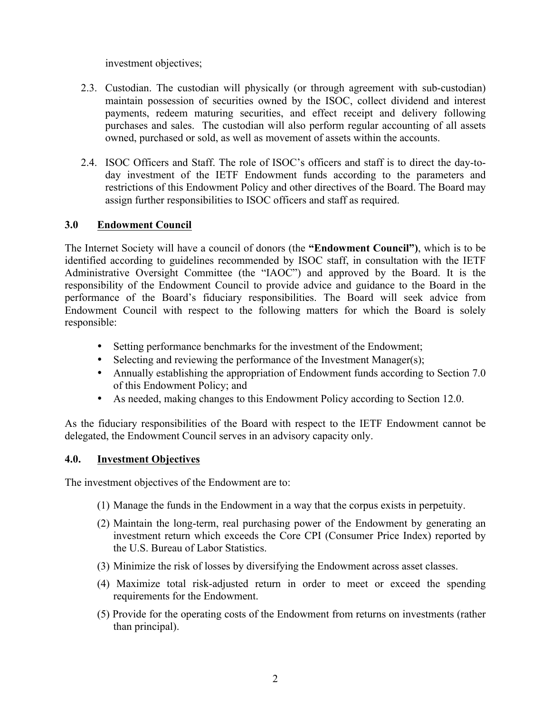investment objectives;

- 2.3. Custodian. The custodian will physically (or through agreement with sub-custodian) maintain possession of securities owned by the ISOC, collect dividend and interest payments, redeem maturing securities, and effect receipt and delivery following purchases and sales. The custodian will also perform regular accounting of all assets owned, purchased or sold, as well as movement of assets within the accounts.
- 2.4. ISOC Officers and Staff. The role of ISOC's officers and staff is to direct the day-today investment of the IETF Endowment funds according to the parameters and restrictions of this Endowment Policy and other directives of the Board. The Board may assign further responsibilities to ISOC officers and staff as required.

# **3.0 Endowment Council**

The Internet Society will have a council of donors (the **"Endowment Council")**, which is to be identified according to guidelines recommended by ISOC staff, in consultation with the IETF Administrative Oversight Committee (the "IAOC") and approved by the Board. It is the responsibility of the Endowment Council to provide advice and guidance to the Board in the performance of the Board's fiduciary responsibilities. The Board will seek advice from Endowment Council with respect to the following matters for which the Board is solely responsible:

- Setting performance benchmarks for the investment of the Endowment;
- Selecting and reviewing the performance of the Investment Manager(s);
- Annually establishing the appropriation of Endowment funds according to Section 7.0 of this Endowment Policy; and
- As needed, making changes to this Endowment Policy according to Section 12.0.

As the fiduciary responsibilities of the Board with respect to the IETF Endowment cannot be delegated, the Endowment Council serves in an advisory capacity only.

## **4.0. Investment Objectives**

The investment objectives of the Endowment are to:

- (1) Manage the funds in the Endowment in a way that the corpus exists in perpetuity.
- (2) Maintain the long-term, real purchasing power of the Endowment by generating an investment return which exceeds the Core CPI (Consumer Price Index) reported by the U.S. Bureau of Labor Statistics.
- (3) Minimize the risk of losses by diversifying the Endowment across asset classes.
- (4) Maximize total risk-adjusted return in order to meet or exceed the spending requirements for the Endowment.
- (5) Provide for the operating costs of the Endowment from returns on investments (rather than principal).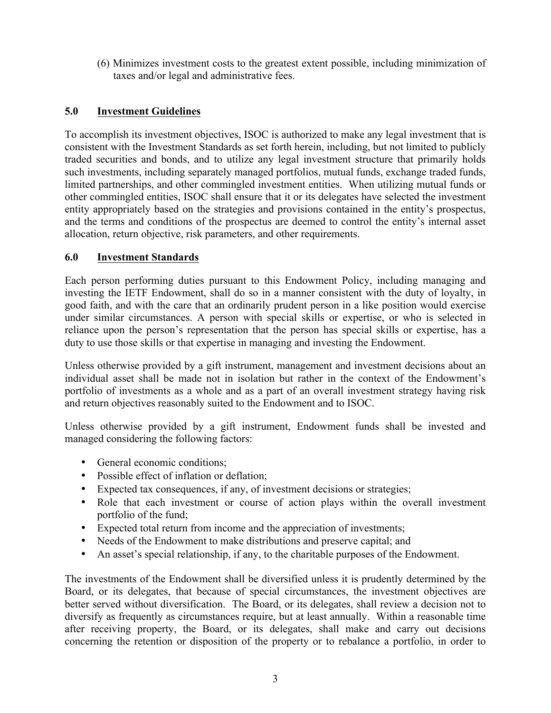(6) Minimizes investment costs to the greatest extent possible, including minimization of taxes and/or legal and administrative fees.

# **5.0 Investment Guidelines**

To accomplish its investment objectives, ISOC is authorized to make any legal investment that is consistent with the Investment Standards as set forth herein, including, but not limited to publicly traded securities and bonds, and to utilize any legal investment structure that primarily holds such investments, including separately managed portfolios, mutual funds, exchange traded funds, limited partnerships, and other commingled investment entities. When utilizing mutual funds or other commingled entities, ISOC shall ensure that it or its delegates have selected the investment entity appropriately based on the strategies and provisions contained in the entity's prospectus, and the terms and conditions of the prospectus are deemed to control the entity's internal asset allocation, return objective, risk parameters, and other requirements.

## **6.0 Investment Standards**

Each person performing duties pursuant to this Endowment Policy, including managing and investing the IETF Endowment, shall do so in a manner consistent with the duty of loyalty, in good faith, and with the care that an ordinarily prudent person in a like position would exercise under similar circumstances. A person with special skills or expertise, or who is selected in reliance upon the person's representation that the person has special skills or expertise, has a duty to use those skills or that expertise in managing and investing the Endowment.

Unless otherwise provided by a gift instrument, management and investment decisions about an individual asset shall be made not in isolation but rather in the context of the Endowment's portfolio of investments as a whole and as a part of an overall investment strategy having risk and return objectives reasonably suited to the Endowment and to ISOC.

Unless otherwise provided by a gift instrument, Endowment funds shall be invested and managed considering the following factors:

- General economic conditions;
- Possible effect of inflation or deflation;
- Expected tax consequences, if any, of investment decisions or strategies;
- Role that each investment or course of action plays within the overall investment portfolio of the fund;
- Expected total return from income and the appreciation of investments;
- Needs of the Endowment to make distributions and preserve capital; and
- An asset's special relationship, if any, to the charitable purposes of the Endowment.

The investments of the Endowment shall be diversified unless it is prudently determined by the Board, or its delegates, that because of special circumstances, the investment objectives are better served without diversification. The Board, or its delegates, shall review a decision not to diversify as frequently as circumstances require, but at least annually. Within a reasonable time after receiving property, the Board, or its delegates, shall make and carry out decisions concerning the retention or disposition of the property or to rebalance a portfolio, in order to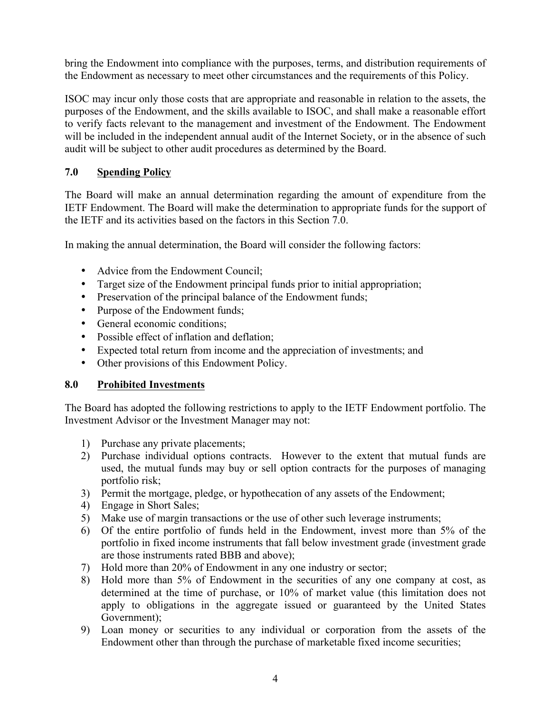bring the Endowment into compliance with the purposes, terms, and distribution requirements of the Endowment as necessary to meet other circumstances and the requirements of this Policy.

ISOC may incur only those costs that are appropriate and reasonable in relation to the assets, the purposes of the Endowment, and the skills available to ISOC, and shall make a reasonable effort to verify facts relevant to the management and investment of the Endowment. The Endowment will be included in the independent annual audit of the Internet Society, or in the absence of such audit will be subject to other audit procedures as determined by the Board.

# **7.0 Spending Policy**

The Board will make an annual determination regarding the amount of expenditure from the IETF Endowment. The Board will make the determination to appropriate funds for the support of the IETF and its activities based on the factors in this Section 7.0.

In making the annual determination, the Board will consider the following factors:

- Advice from the Endowment Council;
- Target size of the Endowment principal funds prior to initial appropriation;
- Preservation of the principal balance of the Endowment funds;
- Purpose of the Endowment funds;
- General economic conditions:
- Possible effect of inflation and deflation;
- Expected total return from income and the appreciation of investments; and
- Other provisions of this Endowment Policy.

## **8.0 Prohibited Investments**

The Board has adopted the following restrictions to apply to the IETF Endowment portfolio. The Investment Advisor or the Investment Manager may not:

- 1) Purchase any private placements;
- 2) Purchase individual options contracts. However to the extent that mutual funds are used, the mutual funds may buy or sell option contracts for the purposes of managing portfolio risk;
- 3) Permit the mortgage, pledge, or hypothecation of any assets of the Endowment;
- 4) Engage in Short Sales;
- 5) Make use of margin transactions or the use of other such leverage instruments;
- 6) Of the entire portfolio of funds held in the Endowment, invest more than 5% of the portfolio in fixed income instruments that fall below investment grade (investment grade are those instruments rated BBB and above);
- 7) Hold more than 20% of Endowment in any one industry or sector;
- 8) Hold more than 5% of Endowment in the securities of any one company at cost, as determined at the time of purchase, or 10% of market value (this limitation does not apply to obligations in the aggregate issued or guaranteed by the United States Government);
- 9) Loan money or securities to any individual or corporation from the assets of the Endowment other than through the purchase of marketable fixed income securities;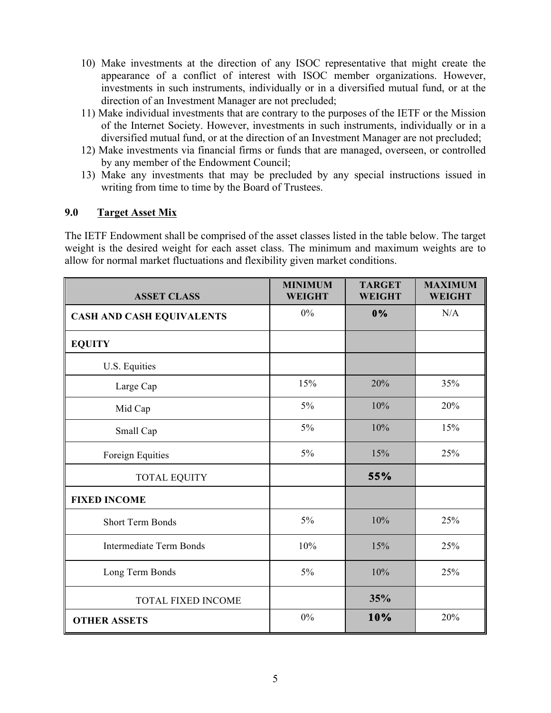- 10) Make investments at the direction of any ISOC representative that might create the appearance of a conflict of interest with ISOC member organizations. However, investments in such instruments, individually or in a diversified mutual fund, or at the direction of an Investment Manager are not precluded;
- 11) Make individual investments that are contrary to the purposes of the IETF or the Mission of the Internet Society. However, investments in such instruments, individually or in a diversified mutual fund, or at the direction of an Investment Manager are not precluded;
- 12) Make investments via financial firms or funds that are managed, overseen, or controlled by any member of the Endowment Council;
- 13) Make any investments that may be precluded by any special instructions issued in writing from time to time by the Board of Trustees.

## **9.0 Target Asset Mix**

The IETF Endowment shall be comprised of the asset classes listed in the table below. The target weight is the desired weight for each asset class. The minimum and maximum weights are to allow for normal market fluctuations and flexibility given market conditions.

| <b>ASSET CLASS</b>               | <b>MINIMUM</b><br><b>WEIGHT</b> | <b>TARGET</b><br><b>WEIGHT</b> | <b>MAXIMUM</b><br><b>WEIGHT</b> |
|----------------------------------|---------------------------------|--------------------------------|---------------------------------|
| <b>CASH AND CASH EQUIVALENTS</b> | $0\%$                           | 0%                             | N/A                             |
| <b>EQUITY</b>                    |                                 |                                |                                 |
| U.S. Equities                    |                                 |                                |                                 |
| Large Cap                        | 15%                             | 20%                            | 35%                             |
| Mid Cap                          | $5\%$                           | 10%                            | 20%                             |
| Small Cap                        | $5\%$                           | 10%                            | 15%                             |
| Foreign Equities                 | 5%                              | 15%                            | 25%                             |
| TOTAL EQUITY                     |                                 | 55%                            |                                 |
| <b>FIXED INCOME</b>              |                                 |                                |                                 |
| <b>Short Term Bonds</b>          | 5%                              | 10%                            | 25%                             |
| <b>Intermediate Term Bonds</b>   | 10%                             | 15%                            | 25%                             |
| Long Term Bonds                  | 5%                              | 10%                            | 25%                             |
| <b>TOTAL FIXED INCOME</b>        |                                 | 35%                            |                                 |
| <b>OTHER ASSETS</b>              | $0\%$                           | 10%                            | 20%                             |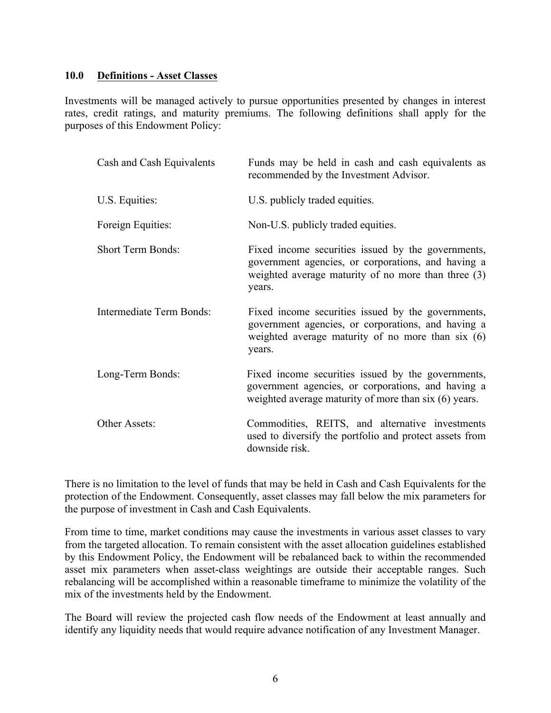#### **10.0 Definitions - Asset Classes**

Investments will be managed actively to pursue opportunities presented by changes in interest rates, credit ratings, and maturity premiums. The following definitions shall apply for the purposes of this Endowment Policy:

| Cash and Cash Equivalents | Funds may be held in cash and cash equivalents as<br>recommended by the Investment Advisor.                                                                               |
|---------------------------|---------------------------------------------------------------------------------------------------------------------------------------------------------------------------|
| U.S. Equities:            | U.S. publicly traded equities.                                                                                                                                            |
| Foreign Equities:         | Non-U.S. publicly traded equities.                                                                                                                                        |
| <b>Short Term Bonds:</b>  | Fixed income securities issued by the governments,<br>government agencies, or corporations, and having a<br>weighted average maturity of no more than three (3)<br>years. |
| Intermediate Term Bonds:  | Fixed income securities issued by the governments,<br>government agencies, or corporations, and having a<br>weighted average maturity of no more than six $(6)$<br>years. |
| Long-Term Bonds:          | Fixed income securities issued by the governments,<br>government agencies, or corporations, and having a<br>weighted average maturity of more than six (6) years.         |
| Other Assets:             | Commodities, REITS, and alternative investments<br>used to diversify the portfolio and protect assets from<br>downside risk.                                              |

There is no limitation to the level of funds that may be held in Cash and Cash Equivalents for the protection of the Endowment. Consequently, asset classes may fall below the mix parameters for the purpose of investment in Cash and Cash Equivalents.

From time to time, market conditions may cause the investments in various asset classes to vary from the targeted allocation. To remain consistent with the asset allocation guidelines established by this Endowment Policy, the Endowment will be rebalanced back to within the recommended asset mix parameters when asset-class weightings are outside their acceptable ranges. Such rebalancing will be accomplished within a reasonable timeframe to minimize the volatility of the mix of the investments held by the Endowment.

The Board will review the projected cash flow needs of the Endowment at least annually and identify any liquidity needs that would require advance notification of any Investment Manager.